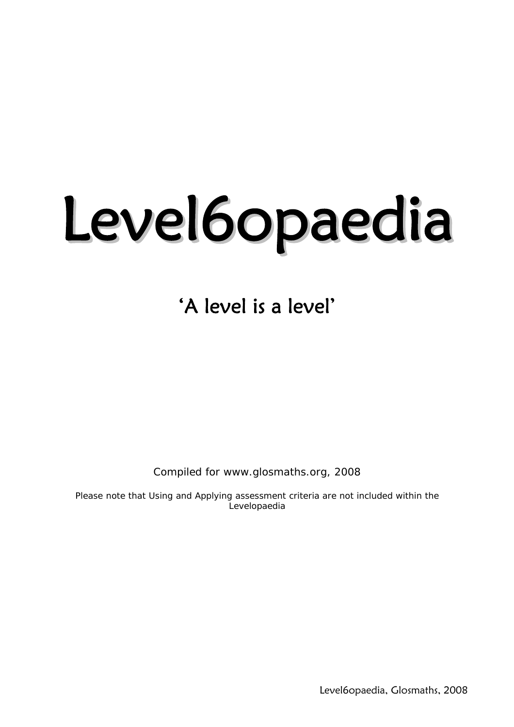# Level6opaedia

'A level is a level'

Compiled for www.glosmaths.org, 2008

*Please note that Using and Applying assessment criteria are not included within the Levelopaedia*

Level6opaedia, Glosmaths, 2008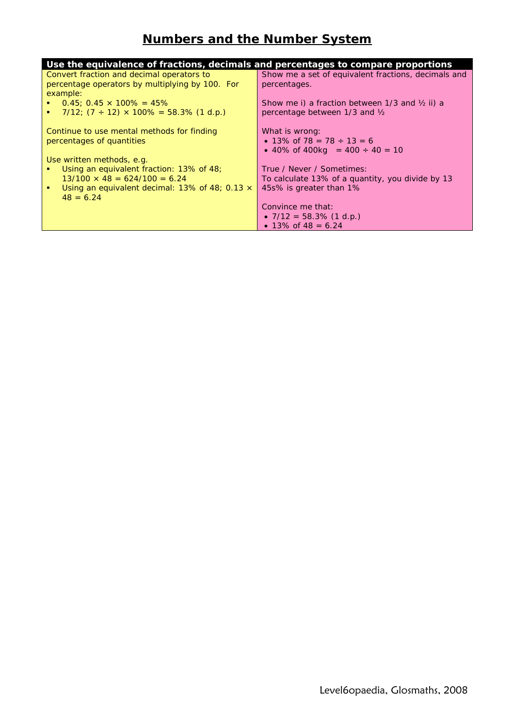# **Numbers and the Number System**

| Use the equivalence of fractions, decimals and percentages to compare proportions |                                                             |
|-----------------------------------------------------------------------------------|-------------------------------------------------------------|
| Convert fraction and decimal operators to                                         | Show me a set of equivalent fractions, decimals and         |
| percentage operators by multiplying by 100. For                                   | percentages.                                                |
| example:                                                                          |                                                             |
| $\bullet$ 0.45; 0.45 $\times$ 100% = 45%                                          | Show me i) a fraction between $1/3$ and $\frac{1}{2}$ ii) a |
| <b>1</b> 7/12; $(7 \div 12) \times 100\% = 58.3\%$ (1 d.p.)                       | percentage between 1/3 and 1/2                              |
|                                                                                   |                                                             |
| Continue to use mental methods for finding                                        | What is wrong:                                              |
| percentages of quantities                                                         | • 13\% of 78 = 78 $\div$ 13 = 6                             |
|                                                                                   | • 40% of 400 kg = $400 \div 40 = 10$                        |
| Use written methods, e.g.                                                         |                                                             |
| Using an equivalent fraction: 13% of 48;                                          | True / Never / Sometimes:                                   |
| $13/100 \times 48 = 624/100 = 6.24$                                               | To calculate 13% of a quantity, you divide by 13            |
| Using an equivalent decimal: 13% of 48; 0.13 $\times$<br>٠                        | 45s% is greater than 1%                                     |
| $48 = 6.24$                                                                       |                                                             |
|                                                                                   | Convince me that:                                           |
|                                                                                   | • $7/12 = 58.3\%$ (1 d.p.)                                  |
|                                                                                   | • 13\% of 48 = 6.24                                         |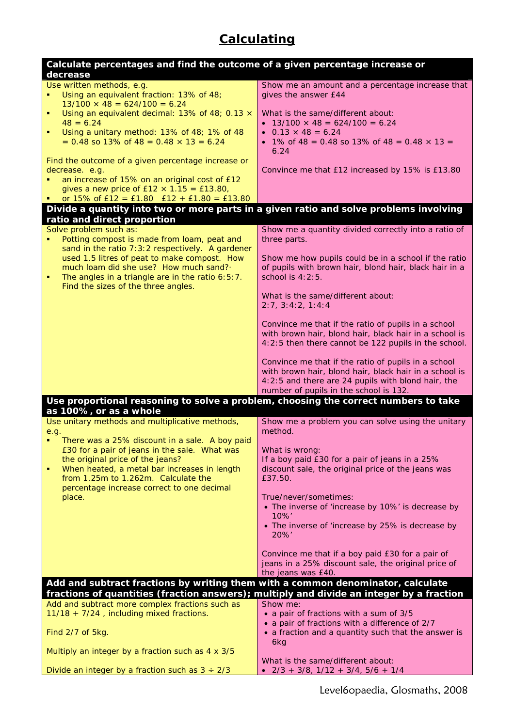# **Calculating**

| Calculate percentages and find the outcome of a given percentage increase or                                                                                                                                                                                                                                                                                                  |                                                                                                                                                                                                                                                                                                                                                                                                                                                                                                                                                                |
|-------------------------------------------------------------------------------------------------------------------------------------------------------------------------------------------------------------------------------------------------------------------------------------------------------------------------------------------------------------------------------|----------------------------------------------------------------------------------------------------------------------------------------------------------------------------------------------------------------------------------------------------------------------------------------------------------------------------------------------------------------------------------------------------------------------------------------------------------------------------------------------------------------------------------------------------------------|
| decrease<br>Use written methods, e.g.<br>Using an equivalent fraction: 13% of 48;<br>$13/100 \times 48 = 624/100 = 6.24$<br>Using an equivalent decimal: 13% of 48; 0.13 x<br>٠<br>$48 = 6.24$<br>Using a unitary method: 13% of 48; 1% of 48<br>٠<br>$= 0.48$ so 13% of 48 = 0.48 $\times$ 13 = 6.24<br>Find the outcome of a given percentage increase or<br>decrease. e.g. | Show me an amount and a percentage increase that<br>gives the answer £44<br>What is the same/different about:<br>• $13/100 \times 48 = 624/100 = 6.24$<br>• $0.13 \times 48 = 6.24$<br>• 1% of 48 = 0.48 so 13% of 48 = 0.48 $\times$ 13 =<br>6.24<br>Convince me that £12 increased by 15% is £13.80                                                                                                                                                                                                                                                          |
| an increase of 15% on an original cost of £12<br>gives a new price of $£12 \times 1.15 = £13.80$ ,<br>or $15\%$ of $E12 = E1.80$ $E12 + E1.80 = E13.80$                                                                                                                                                                                                                       |                                                                                                                                                                                                                                                                                                                                                                                                                                                                                                                                                                |
| Divide a quantity into two or more parts in a given ratio and solve problems involving                                                                                                                                                                                                                                                                                        |                                                                                                                                                                                                                                                                                                                                                                                                                                                                                                                                                                |
| ratio and direct proportion<br>Solve problem such as:<br>Potting compost is made from loam, peat and<br>sand in the ratio 7:3:2 respectively. A gardener<br>used 1.5 litres of peat to make compost. How<br>much loam did she use? How much sand?<br>The angles in a triangle are in the ratio 6:5:7.<br>Find the sizes of the three angles.                                  | Show me a quantity divided correctly into a ratio of<br>three parts.<br>Show me how pupils could be in a school if the ratio<br>of pupils with brown hair, blond hair, black hair in a<br>school is 4:2:5.<br>What is the same/different about:<br>2:7, 3:4:2, 1:4:4<br>Convince me that if the ratio of pupils in a school<br>with brown hair, blond hair, black hair in a school is<br>4:2:5 then there cannot be 122 pupils in the school.<br>Convince me that if the ratio of pupils in a school<br>with brown hair, blond hair, black hair in a school is |
| Use proportional reasoning to solve a problem, choosing the correct numbers to take                                                                                                                                                                                                                                                                                           | 4:2:5 and there are 24 pupils with blond hair, the<br>number of pupils in the school is 132.                                                                                                                                                                                                                                                                                                                                                                                                                                                                   |
| as 100%, or as a whole<br>Use unitary methods and multiplicative methods,<br>e.g.<br>There was a 25% discount in a sale. A boy paid<br>£30 for a pair of jeans in the sale. What was<br>the original price of the jeans?<br>When heated, a metal bar increases in length<br>from 1.25m to 1.262m. Calculate the<br>percentage increase correct to one decimal<br>place.       | Show me a problem you can solve using the unitary<br>method.<br>What is wrong:<br>If a boy paid £30 for a pair of jeans in a 25%<br>discount sale, the original price of the jeans was<br>£37.50.<br>True/never/sometimes:<br>• The inverse of 'increase by 10%' is decrease by<br>$10\%'$<br>• The inverse of 'increase by 25% is decrease by<br>20%'                                                                                                                                                                                                         |
|                                                                                                                                                                                                                                                                                                                                                                               | Convince me that if a boy paid £30 for a pair of<br>jeans in a 25% discount sale, the original price of<br>the jeans was £40.                                                                                                                                                                                                                                                                                                                                                                                                                                  |
| Add and subtract fractions by writing them with a common denominator, calculate<br>fractions of quantities (fraction answers); multiply and divide an integer by a fraction<br>Add and subtract more complex fractions such as<br>11/18 + 7/24, including mixed fractions.                                                                                                    | Show me:<br>• a pair of fractions with a sum of 3/5<br>• a pair of fractions with a difference of 2/7                                                                                                                                                                                                                                                                                                                                                                                                                                                          |
| Find 2/7 of 5kg.                                                                                                                                                                                                                                                                                                                                                              | • a fraction and a quantity such that the answer is<br>6kg                                                                                                                                                                                                                                                                                                                                                                                                                                                                                                     |
| Multiply an integer by a fraction such as 4 x 3/5                                                                                                                                                                                                                                                                                                                             | What is the same/different about:                                                                                                                                                                                                                                                                                                                                                                                                                                                                                                                              |
| Divide an integer by a fraction such as $3 \div 2/3$                                                                                                                                                                                                                                                                                                                          | $\bullet$ 2/3 + 3/8, 1/12 + 3/4, 5/6 + 1/4                                                                                                                                                                                                                                                                                                                                                                                                                                                                                                                     |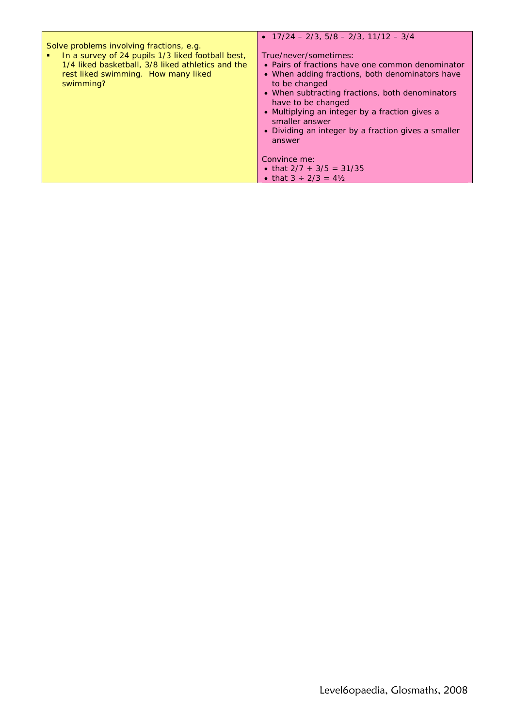| Solve problems involving fractions, e.g.<br>In a survey of 24 pupils 1/3 liked football best,<br>1/4 liked basketball, 3/8 liked athletics and the<br>rest liked swimming. How many liked<br>swimming? | • $17/24 - 2/3$ , $5/8 - 2/3$ , $11/12 - 3/4$<br>True/never/sometimes:<br>• Pairs of fractions have one common denominator<br>• When adding fractions, both denominators have<br>to be changed<br>• When subtracting fractions, both denominators<br>have to be changed<br>• Multiplying an integer by a fraction gives a<br>smaller answer<br>• Dividing an integer by a fraction gives a smaller<br>answer |
|--------------------------------------------------------------------------------------------------------------------------------------------------------------------------------------------------------|--------------------------------------------------------------------------------------------------------------------------------------------------------------------------------------------------------------------------------------------------------------------------------------------------------------------------------------------------------------------------------------------------------------|
|                                                                                                                                                                                                        | Convince me:<br>• that $2/7 + 3/5 = 31/35$<br>• that $3 \div 2/3 = 4\frac{1}{2}$                                                                                                                                                                                                                                                                                                                             |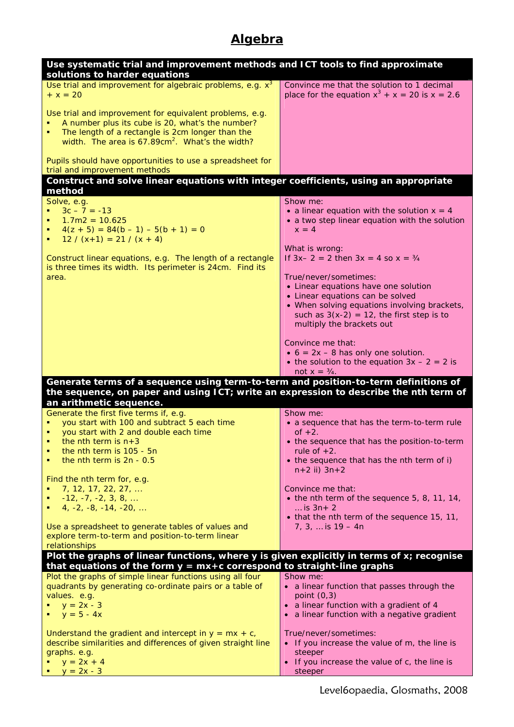# **Algebra**

| Use systematic trial and improvement methods and ICT tools to find approximate                                          |                                                                                                 |
|-------------------------------------------------------------------------------------------------------------------------|-------------------------------------------------------------------------------------------------|
| solutions to harder equations<br>Use trial and improvement for algebraic problems, e.g. $x^3$                           | Convince me that the solution to 1 decimal                                                      |
| $+ x = 20$                                                                                                              | place for the equation $x^3 + x = 20$ is $x = 2.6$                                              |
| Use trial and improvement for equivalent problems, e.g.                                                                 |                                                                                                 |
| A number plus its cube is 20, what's the number?<br>The length of a rectangle is 2cm longer than the                    |                                                                                                 |
| width. The area is 67.89cm <sup>2</sup> . What's the width?                                                             |                                                                                                 |
| Pupils should have opportunities to use a spreadsheet for<br>trial and improvement methods                              |                                                                                                 |
| Construct and solve linear equations with integer coefficients, using an appropriate                                    |                                                                                                 |
| method                                                                                                                  |                                                                                                 |
| Solve, e.g.                                                                                                             | Show me:                                                                                        |
| $3c - 7 = -13$<br>٠<br>$1.7m2 = 10.625$<br>٠                                                                            | • a linear equation with the solution $x = 4$<br>• a two step linear equation with the solution |
| $4(z + 5) = 84(b - 1) - 5(b + 1) = 0$<br>٠                                                                              | $x = 4$                                                                                         |
| $12 / (x+1) = 21 / (x + 4)$                                                                                             | What is wrong:                                                                                  |
| Construct linear equations, e.g. The length of a rectangle<br>is three times its width. Its perimeter is 24cm. Find its | If $3x - 2 = 2$ then $3x = 4$ so $x = \frac{3}{4}$                                              |
| area.                                                                                                                   | True/never/sometimes:                                                                           |
|                                                                                                                         | • Linear equations have one solution                                                            |
|                                                                                                                         | • Linear equations can be solved<br>• When solving equations involving brackets,                |
|                                                                                                                         | such as $3(x-2) = 12$ , the first step is to                                                    |
|                                                                                                                         | multiply the brackets out                                                                       |
|                                                                                                                         | Convince me that:                                                                               |
|                                                                                                                         | $\bullet$ 6 = 2x - 8 has only one solution.                                                     |
|                                                                                                                         | • the solution to the equation $3x - 2 = 2$ is<br>not $x = \frac{3}{4}$ .                       |
| Generate terms of a sequence using term-to-term and position-to-term definitions of                                     |                                                                                                 |
| the sequence, on paper and using ICT; write an expression to describe the nth term of                                   |                                                                                                 |
| an arithmetic sequence.<br>Generate the first five terms if, e.g.                                                       | Show me:                                                                                        |
| you start with 100 and subtract 5 each time                                                                             | • a sequence that has the term-to-term rule                                                     |
| you start with 2 and double each time                                                                                   | of $+2$ .                                                                                       |
| the nth term is $n+3$<br>the nth term is 105 - 5n                                                                       | • the sequence that has the position-to-term<br>rule of $+2$ .                                  |
| the nth term is 2n - 0.5                                                                                                | • the sequence that has the nth term of i)                                                      |
| Find the nth term for, e.g.                                                                                             | $n+2$ ii) $3n+2$                                                                                |
| 7, 12, 17, 22, 27,                                                                                                      | Convince me that:                                                                               |
| $-12, -7, -2, 3, 8, $                                                                                                   | $\bullet$ the nth term of the sequence 5, 8, 11, 14,                                            |
| $4, -2, -8, -14, -20, \ldots$                                                                                           | is $3n+2$<br>• that the nth term of the sequence 15, 11,                                        |
| Use a spreadsheet to generate tables of values and                                                                      | $7, 3, $ is $19 - 4n$                                                                           |
| explore term-to-term and position-to-term linear                                                                        |                                                                                                 |
| relationships<br>Plot the graphs of linear functions, where y is given explicitly in terms of x; recognise              |                                                                                                 |
| that equations of the form $y = mx+c$ correspond to straight-line graphs                                                |                                                                                                 |
| Plot the graphs of simple linear functions using all four                                                               | Show me:                                                                                        |
| quadrants by generating co-ordinate pairs or a table of<br>values. e.g.                                                 | • a linear function that passes through the<br>point $(0,3)$                                    |
| $y = 2x - 3$                                                                                                            | • a linear function with a gradient of 4                                                        |
| $y = 5 - 4x$                                                                                                            | • a linear function with a negative gradient                                                    |
| Understand the gradient and intercept in $y = mx + c$ ,                                                                 | True/never/sometimes:                                                                           |
| describe similarities and differences of given straight line                                                            | • If you increase the value of m, the line is                                                   |
| graphs. e.g.<br>$y = 2x + 4$                                                                                            | steeper<br>• If you increase the value of c, the line is                                        |
| $y = 2x - 3$                                                                                                            | steeper                                                                                         |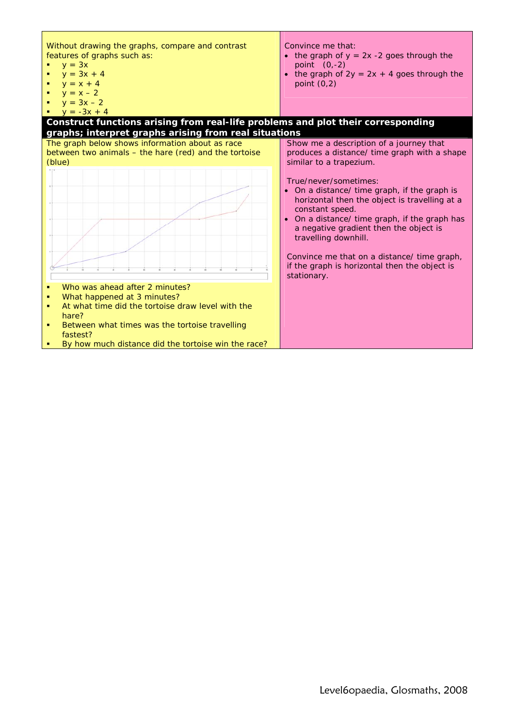| Without drawing the graphs, compare and contrast<br>features of graphs such as:<br>$y = 3x$<br>$y = 3x + 4$<br>$y = x + 4$<br>$y = x - 2$<br>$y = 3x - 2$<br>$y = -3x + 4$                                                                       | Convince me that:<br>• the graph of $y = 2x - 2$ goes through the<br>point $(0,-2)$<br>• the graph of $2y = 2x + 4$ goes through the<br>point $(0,2)$                                                                                                        |
|--------------------------------------------------------------------------------------------------------------------------------------------------------------------------------------------------------------------------------------------------|--------------------------------------------------------------------------------------------------------------------------------------------------------------------------------------------------------------------------------------------------------------|
| Construct functions arising from real-life problems and plot their corresponding                                                                                                                                                                 |                                                                                                                                                                                                                                                              |
| graphs; interpret graphs arising from real situations<br>The graph below shows information about as race<br>between two animals - the hare (red) and the tortoise<br>(blue)                                                                      | Show me a description of a journey that<br>produces a distance/ time graph with a shape<br>similar to a trapezium.                                                                                                                                           |
|                                                                                                                                                                                                                                                  | True/never/sometimes:<br>• On a distance/ time graph, if the graph is<br>horizontal then the object is travelling at a<br>constant speed.<br>• On a distance/ time graph, if the graph has<br>a negative gradient then the object is<br>travelling downhill. |
|                                                                                                                                                                                                                                                  | Convince me that on a distance/ time graph,<br>if the graph is horizontal then the object is<br>stationary.                                                                                                                                                  |
| Who was ahead after 2 minutes?<br>What happened at 3 minutes?<br>At what time did the tortoise draw level with the<br>hare?<br>Between what times was the tortoise travelling<br>fastest?<br>By how much distance did the tortoise win the race? |                                                                                                                                                                                                                                                              |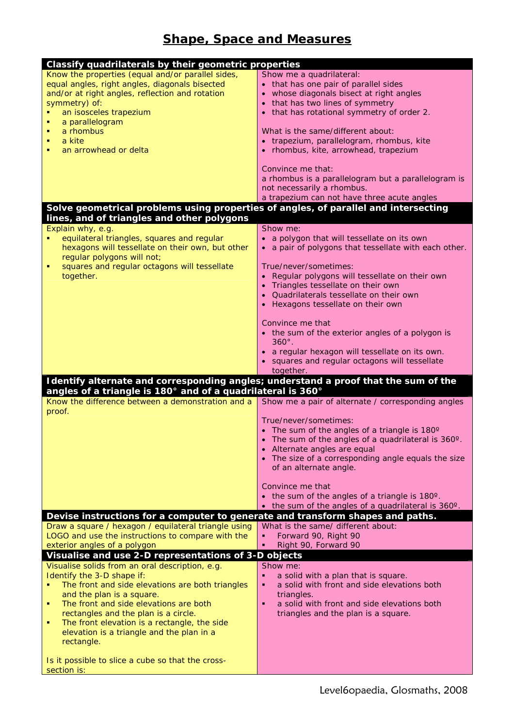#### **Shape, Space and Measures**

| Classify quadrilaterals by their geometric properties                                                                                |                                                                |
|--------------------------------------------------------------------------------------------------------------------------------------|----------------------------------------------------------------|
| Know the properties (equal and/or parallel sides,                                                                                    | Show me a quadrilateral:                                       |
| equal angles, right angles, diagonals bisected                                                                                       | • that has one pair of parallel sides                          |
| and/or at right angles, reflection and rotation                                                                                      | whose diagonals bisect at right angles                         |
| symmetry) of:                                                                                                                        | that has two lines of symmetry                                 |
| an isosceles trapezium<br>a parallelogram                                                                                            | that has rotational symmetry of order 2.                       |
| a rhombus<br>٠                                                                                                                       | What is the same/different about:                              |
| a kite<br>٠                                                                                                                          | • trapezium, parallelogram, rhombus, kite                      |
| an arrowhead or delta<br>٠                                                                                                           | rhombus, kite, arrowhead, trapezium                            |
|                                                                                                                                      |                                                                |
|                                                                                                                                      | Convince me that:                                              |
|                                                                                                                                      | a rhombus is a parallelogram but a parallelogram is            |
|                                                                                                                                      | not necessarily a rhombus.                                     |
|                                                                                                                                      | a trapezium can not have three acute angles                    |
| Solve geometrical problems using properties of angles, of parallel and intersecting<br>lines, and of triangles and other polygons    |                                                                |
| Explain why, e.g.                                                                                                                    | Show me:                                                       |
| equilateral triangles, squares and regular                                                                                           | • a polygon that will tessellate on its own                    |
| hexagons will tessellate on their own, but other                                                                                     | • a pair of polygons that tessellate with each other.          |
| regular polygons will not;                                                                                                           |                                                                |
| squares and regular octagons will tessellate<br>٠                                                                                    | True/never/sometimes:                                          |
| together.                                                                                                                            | • Regular polygons will tessellate on their own                |
|                                                                                                                                      | Triangles tessellate on their own                              |
|                                                                                                                                      | Quadrilaterals tessellate on their own                         |
|                                                                                                                                      | Hexagons tessellate on their own                               |
|                                                                                                                                      | Convince me that                                               |
|                                                                                                                                      | • the sum of the exterior angles of a polygon is               |
|                                                                                                                                      | $360^\circ$ .                                                  |
|                                                                                                                                      | · a regular hexagon will tessellate on its own.                |
|                                                                                                                                      | squares and regular octagons will tessellate                   |
|                                                                                                                                      | together.                                                      |
| Identify alternate and corresponding angles; understand a proof that the sum of the                                                  |                                                                |
| angles of a triangle is 180 $^{\circ}$ and of a quadrilateral is 360 $^{\circ}$<br>Know the difference between a demonstration and a |                                                                |
| proof.                                                                                                                               | Show me a pair of alternate / corresponding angles             |
|                                                                                                                                      | True/never/sometimes:                                          |
|                                                                                                                                      | The sum of the angles of a triangle is 180°                    |
|                                                                                                                                      | The sum of the angles of a quadrilateral is 360°.              |
|                                                                                                                                      | • Alternate angles are equal                                   |
|                                                                                                                                      | • The size of a corresponding angle equals the size            |
|                                                                                                                                      | of an alternate angle.                                         |
|                                                                                                                                      | Convince me that                                               |
|                                                                                                                                      | • the sum of the angles of a triangle is 180°.                 |
|                                                                                                                                      | the sum of the angles of a quadrilateral is 360°.<br>$\bullet$ |
| Devise instructions for a computer to generate and transform shapes and paths.                                                       |                                                                |
| Draw a square / hexagon / equilateral triangle using                                                                                 | What is the same/ different about:                             |
| LOGO and use the instructions to compare with the                                                                                    | Forward 90, Right 90<br>٠                                      |
| exterior angles of a polygon                                                                                                         | Right 90, Forward 90<br>٠                                      |
| Visualise and use 2-D representations of 3-D objects                                                                                 |                                                                |
| Visualise solids from an oral description, e.g.<br>Identify the 3-D shape if:                                                        | Show me:<br>a solid with a plan that is square.                |
| The front and side elevations are both triangles                                                                                     | a solid with front and side elevations both<br>٠               |
| and the plan is a square.                                                                                                            | triangles.                                                     |
| The front and side elevations are both<br>٠                                                                                          | a solid with front and side elevations both<br>$\blacksquare$  |
| rectangles and the plan is a circle.                                                                                                 | triangles and the plan is a square.                            |
| The front elevation is a rectangle, the side<br>٠                                                                                    |                                                                |
| elevation is a triangle and the plan in a                                                                                            |                                                                |
| rectangle.                                                                                                                           |                                                                |
|                                                                                                                                      |                                                                |
| Is it possible to slice a cube so that the cross-                                                                                    |                                                                |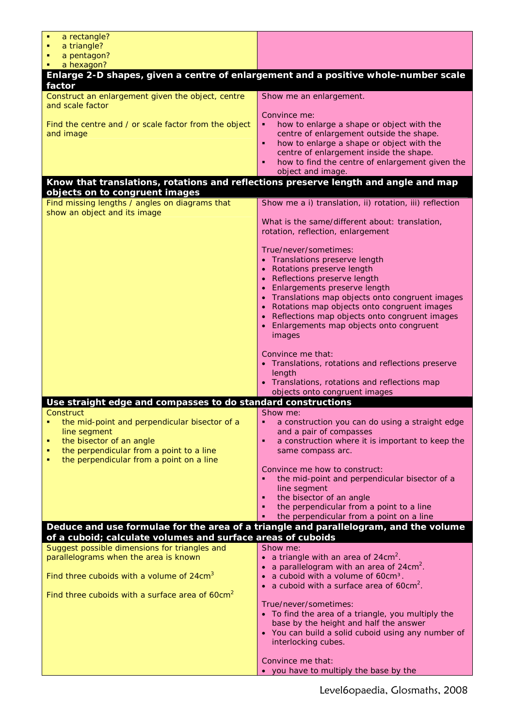| a rectangle?                                                                        |                                                                                                      |
|-------------------------------------------------------------------------------------|------------------------------------------------------------------------------------------------------|
| a triangle?                                                                         |                                                                                                      |
| a pentagon?                                                                         |                                                                                                      |
| a hexagon?<br>٠                                                                     |                                                                                                      |
| factor                                                                              | Enlarge 2-D shapes, given a centre of enlargement and a positive whole-number scale                  |
| Construct an enlargement given the object, centre<br>and scale factor               | Show me an enlargement.                                                                              |
|                                                                                     | Convince me:                                                                                         |
| Find the centre and / or scale factor from the object                               | how to enlarge a shape or object with the<br>٠                                                       |
| and image                                                                           | centre of enlargement outside the shape.<br>how to enlarge a shape or object with the<br>٠           |
|                                                                                     | centre of enlargement inside the shape.                                                              |
|                                                                                     | how to find the centre of enlargement given the<br>٠                                                 |
|                                                                                     | object and image.                                                                                    |
| Know that translations, rotations and reflections preserve length and angle and map |                                                                                                      |
| objects on to congruent images                                                      |                                                                                                      |
| Find missing lengths / angles on diagrams that<br>show an object and its image      | Show me a i) translation, ii) rotation, iii) reflection                                              |
|                                                                                     | What is the same/different about: translation,                                                       |
|                                                                                     | rotation, reflection, enlargement                                                                    |
|                                                                                     |                                                                                                      |
|                                                                                     | True/never/sometimes:                                                                                |
|                                                                                     | • Translations preserve length<br>Rotations preserve length                                          |
|                                                                                     | • Reflections preserve length                                                                        |
|                                                                                     | Enlargements preserve length                                                                         |
|                                                                                     | Translations map objects onto congruent images                                                       |
|                                                                                     | Rotations map objects onto congruent images<br>Reflections map objects onto congruent images         |
|                                                                                     | Enlargements map objects onto congruent                                                              |
|                                                                                     | images                                                                                               |
|                                                                                     |                                                                                                      |
|                                                                                     | Convince me that:<br>• Translations, rotations and reflections preserve                              |
|                                                                                     | length                                                                                               |
|                                                                                     | • Translations, rotations and reflections map                                                        |
|                                                                                     | objects onto congruent images                                                                        |
| Use straight edge and compasses to do standard constructions                        |                                                                                                      |
| Construct<br>the mid-point and perpendicular bisector of a<br>٠                     | Show me:<br>a construction you can do using a straight edge<br>٠                                     |
| line segment                                                                        | and a pair of compasses                                                                              |
| the bisector of an angle<br>٠                                                       | a construction where it is important to keep the<br>٠                                                |
| the perpendicular from a point to a line<br>п                                       | same compass arc.                                                                                    |
| the perpendicular from a point on a line<br>п                                       | Convince me how to construct:                                                                        |
|                                                                                     | the mid-point and perpendicular bisector of a<br>٠                                                   |
|                                                                                     | line segment                                                                                         |
|                                                                                     | the bisector of an angle<br>٠                                                                        |
|                                                                                     | the perpendicular from a point to a line<br>٠<br>the perpendicular from a point on a line<br>п       |
|                                                                                     | Deduce and use formulae for the area of a triangle and parallelogram, and the volume                 |
| of a cuboid; calculate volumes and surface areas of cuboids                         |                                                                                                      |
| Suggest possible dimensions for triangles and                                       | Show me:                                                                                             |
| parallelograms when the area is known                                               | a triangle with an area of $24 \text{cm}^2$ .<br>$\bullet$                                           |
| Find three cuboids with a volume of $24 \text{cm}^3$                                | a parallelogram with an area of 24cm <sup>2</sup> .                                                  |
|                                                                                     | a cuboid with a volume of 60cm <sup>3</sup> .<br>a cuboid with a surface area of 60cm <sup>2</sup> . |
| Find three cuboids with a surface area of $60 \text{cm}^2$                          |                                                                                                      |
|                                                                                     | True/never/sometimes:                                                                                |
|                                                                                     | • To find the area of a triangle, you multiply the                                                   |
|                                                                                     | base by the height and half the answer<br>• You can build a solid cuboid using any number of         |
|                                                                                     | interlocking cubes.                                                                                  |
|                                                                                     |                                                                                                      |
|                                                                                     | Convince me that:                                                                                    |
|                                                                                     | • you have to multiply the base by the                                                               |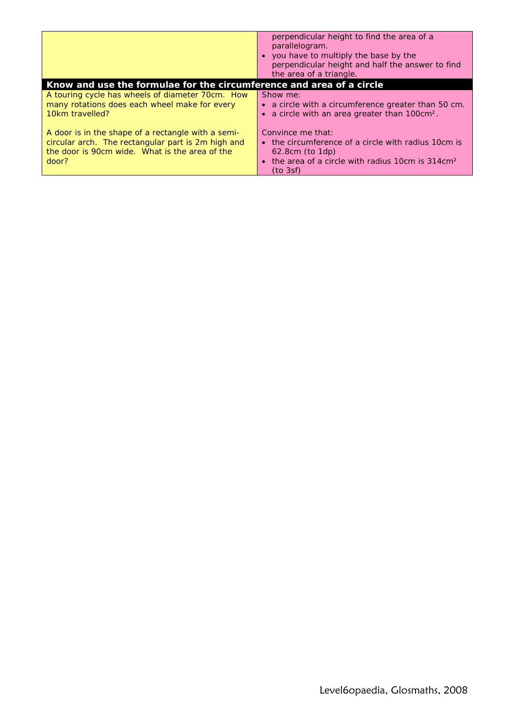|                                                                                                                                                                     | perpendicular height to find the area of a<br>parallelogram.<br>• you have to multiply the base by the<br>perpendicular height and half the answer to find<br>the area of a triangle. |
|---------------------------------------------------------------------------------------------------------------------------------------------------------------------|---------------------------------------------------------------------------------------------------------------------------------------------------------------------------------------|
| Know and use the formulae for the circumference and area of a circle                                                                                                |                                                                                                                                                                                       |
| A touring cycle has wheels of diameter 70cm. How<br>many rotations does each wheel make for every<br>10km travelled?                                                | Show me:<br>• a circle with a circumference greater than 50 cm.<br>a circle with an area greater than 100cm <sup>2</sup> .                                                            |
| A door is in the shape of a rectangle with a semi-<br>circular arch. The rectangular part is 2m high and<br>the door is 90cm wide. What is the area of the<br>door? | Convince me that:<br>• the circumference of a circle with radius 10cm is<br>$62.8cm$ (to $1dp$ )<br>the area of a circle with radius 10cm is 314cm <sup>2</sup><br>(to 3sf)           |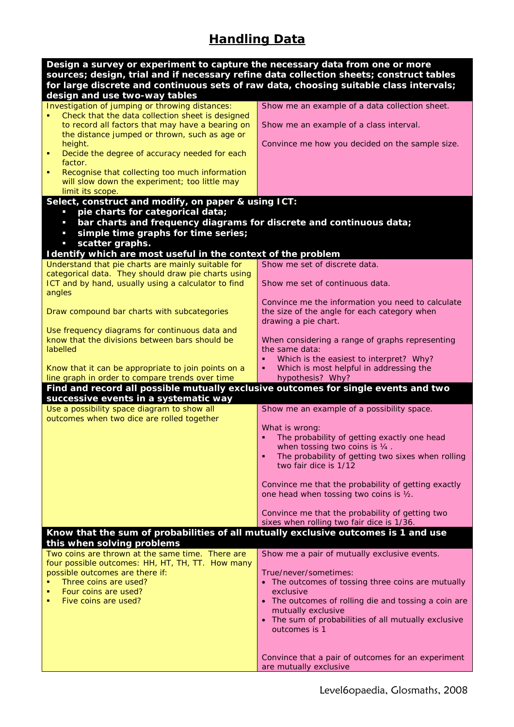# **Handling Data**

| Design a survey or experiment to capture the necessary data from one or more<br>sources; design, trial and if necessary refine data collection sheets; construct tables |                                                                                              |
|-------------------------------------------------------------------------------------------------------------------------------------------------------------------------|----------------------------------------------------------------------------------------------|
| for large discrete and continuous sets of raw data, choosing suitable class intervals;<br>design and use two-way tables                                                 |                                                                                              |
| Investigation of jumping or throwing distances:                                                                                                                         | Show me an example of a data collection sheet.                                               |
| Check that the data collection sheet is designed<br>to record all factors that may have a bearing on                                                                    | Show me an example of a class interval.                                                      |
| the distance jumped or thrown, such as age or<br>height.                                                                                                                | Convince me how you decided on the sample size.                                              |
| Decide the degree of accuracy needed for each<br>factor.                                                                                                                |                                                                                              |
| Recognise that collecting too much information                                                                                                                          |                                                                                              |
| will slow down the experiment; too little may<br>limit its scope.                                                                                                       |                                                                                              |
| Select, construct and modify, on paper & using ICT:<br>pie charts for categorical data;<br>$\blacksquare$                                                               |                                                                                              |
| bar charts and frequency diagrams for discrete and continuous data;<br>$\overline{\phantom{a}}$                                                                         |                                                                                              |
| simple time graphs for time series;<br>$\overline{\phantom{a}}$<br>scatter graphs.<br>$\overline{\phantom{a}}$                                                          |                                                                                              |
| I dentify which are most useful in the context of the problem                                                                                                           |                                                                                              |
| Understand that pie charts are mainly suitable for                                                                                                                      | Show me set of discrete data.                                                                |
| categorical data. They should draw pie charts using<br>ICT and by hand, usually using a calculator to find                                                              | Show me set of continuous data.                                                              |
| angles                                                                                                                                                                  | Convince me the information you need to calculate                                            |
| Draw compound bar charts with subcategories                                                                                                                             | the size of the angle for each category when<br>drawing a pie chart.                         |
| Use frequency diagrams for continuous data and                                                                                                                          |                                                                                              |
| know that the divisions between bars should be<br>labelled                                                                                                              | When considering a range of graphs representing<br>the same data:                            |
| Know that it can be appropriate to join points on a                                                                                                                     | Which is the easiest to interpret? Why?<br>Which is most helpful in addressing the<br>٠      |
| line graph in order to compare trends over time                                                                                                                         | hypothesis? Why?                                                                             |
| Find and record all possible mutually exclusive outcomes for single events and two                                                                                      |                                                                                              |
| successive events in a systematic way<br>Use a possibility space diagram to show all                                                                                    | Show me an example of a possibility space.                                                   |
| outcomes when two dice are rolled together                                                                                                                              |                                                                                              |
|                                                                                                                                                                         | What is wrong:<br>The probability of getting exactly one head                                |
|                                                                                                                                                                         | when tossing two coins is 1/4.<br>The probability of getting two sixes when rolling<br>٠     |
|                                                                                                                                                                         | two fair dice is 1/12                                                                        |
|                                                                                                                                                                         | Convince me that the probability of getting exactly                                          |
|                                                                                                                                                                         | one head when tossing two coins is 1/2.                                                      |
|                                                                                                                                                                         | Convince me that the probability of getting two<br>sixes when rolling two fair dice is 1/36. |
| Know that the sum of probabilities of all mutually exclusive outcomes is 1 and use                                                                                      |                                                                                              |
| this when solving problems                                                                                                                                              |                                                                                              |
| Two coins are thrown at the same time. There are<br>four possible outcomes: HH, HT, TH, TT. How many                                                                    | Show me a pair of mutually exclusive events.                                                 |
| possible outcomes are there if:                                                                                                                                         | True/never/sometimes:                                                                        |
| Three coins are used?                                                                                                                                                   | • The outcomes of tossing three coins are mutually                                           |
| Four coins are used?                                                                                                                                                    | exclusive                                                                                    |
| Five coins are used?                                                                                                                                                    | The outcomes of rolling die and tossing a coin are<br>mutually exclusive                     |
|                                                                                                                                                                         | The sum of probabilities of all mutually exclusive<br>$\bullet$<br>outcomes is 1             |
|                                                                                                                                                                         |                                                                                              |
|                                                                                                                                                                         | Convince that a pair of outcomes for an experiment                                           |
|                                                                                                                                                                         | are mutually exclusive                                                                       |